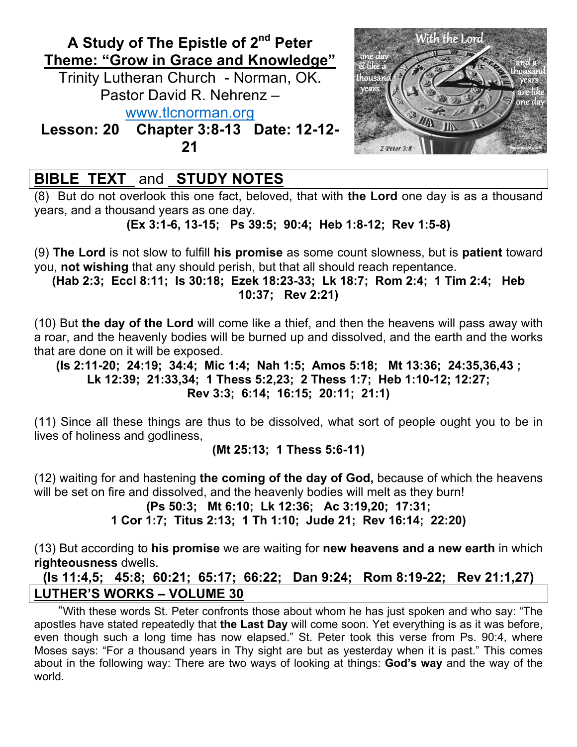**A Study of The Epistle of 2nd Peter Theme: "Grow in Grace and Knowledge"**

Trinity Lutheran Church - Norman, OK. Pastor David R. Nehrenz –

www.tlcnorman.org

**Lesson: 20 Chapter 3:8-13 Date: 12-12- 21**



# **BIBLE TEXT** and **STUDY NOTES**

(8) But do not overlook this one fact, beloved, that with **the Lord** one day is as a thousand years, and a thousand years as one day.

### **(Ex 3:1-6, 13-15; Ps 39:5; 90:4; Heb 1:8-12; Rev 1:5-8)**

(9) **The Lord** is not slow to fulfill **his promise** as some count slowness, but is **patient** toward you, **not wishing** that any should perish, but that all should reach repentance.

**(Hab 2:3; Eccl 8:11; Is 30:18; Ezek 18:23-33; Lk 18:7; Rom 2:4; 1 Tim 2:4; Heb 10:37; Rev 2:21)**

(10) But **the day of the Lord** will come like a thief, and then the heavens will pass away with a roar, and the heavenly bodies will be burned up and dissolved, and the earth and the works that are done on it will be exposed.

**(Is 2:11-20; 24:19; 34:4; Mic 1:4; Nah 1:5; Amos 5:18; Mt 13:36; 24:35,36,43 ; Lk 12:39; 21:33,34; 1 Thess 5:2,23; 2 Thess 1:7; Heb 1:10-12; 12:27; Rev 3:3; 6:14; 16:15; 20:11; 21:1)**

(11) Since all these things are thus to be dissolved, what sort of people ought you to be in lives of holiness and godliness,

#### **(Mt 25:13; 1 Thess 5:6-11)**

(12) waiting for and hastening **the coming of the day of God,** because of which the heavens will be set on fire and dissolved, and the heavenly bodies will melt as they burn!

**(Ps 50:3; Mt 6:10; Lk 12:36; Ac 3:19,20; 17:31; 1 Cor 1:7; Titus 2:13; 1 Th 1:10; Jude 21; Rev 16:14; 22:20)** 

(13) But according to **his promise** we are waiting for **new heavens and a new earth** in which **righteousness** dwells.

### **(Is 11:4,5; 45:8; 60:21; 65:17; 66:22; Dan 9:24; Rom 8:19-22; Rev 21:1,27) LUTHER'S WORKS – VOLUME 30**

"With these words St. Peter confronts those about whom he has just spoken and who say: "The apostles have stated repeatedly that **the Last Day** will come soon. Yet everything is as it was before, even though such a long time has now elapsed." St. Peter took this verse from Ps. 90:4, where Moses says: "For a thousand years in Thy sight are but as yesterday when it is past." This comes about in the following way: There are two ways of looking at things: **God's way** and the way of the world.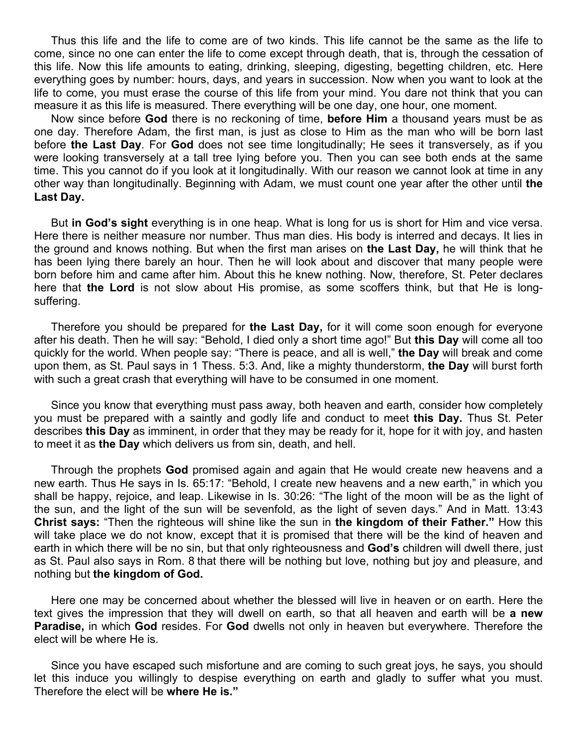Thus this life and the life to come are of two kinds. This life cannot be the same as the life to come, since no one can enter the life to come except through death, that is, through the cessation of this life. Now this life amounts to eating, drinking, sleeping, digesting, begetting children, etc. Here everything goes by number: hours, days, and years in succession. Now when you want to look at the life to come, you must erase the course of this life from your mind. You dare not think that you can measure it as this life is measured. There everything will be one day, one hour, one moment.

Now since before **God** there is no reckoning of time, **before Him** a thousand years must be as one day. Therefore Adam, the first man, is just as close to Him as the man who will be born last before **the Last Day**. For **God** does not see time longitudinally; He sees it transversely, as if you were looking transversely at a tall tree lying before you. Then you can see both ends at the same time. This you cannot do if you look at it longitudinally. With our reason we cannot look at time in any other way than longitudinally. Beginning with Adam, we must count one year after the other until **the Last Day.**

But **in God's sight** everything is in one heap. What is long for us is short for Him and vice versa. Here there is neither measure nor number. Thus man dies. His body is interred and decays. It lies in the ground and knows nothing. But when the first man arises on **the Last Day,** he will think that he has been lying there barely an hour. Then he will look about and discover that many people were born before him and came after him. About this he knew nothing. Now, therefore, St. Peter declares here that **the Lord** is not slow about His promise, as some scoffers think, but that He is longsuffering.

Therefore you should be prepared for **the Last Day,** for it will come soon enough for everyone after his death. Then he will say: "Behold, I died only a short time ago!" But **this Day** will come all too quickly for the world. When people say: "There is peace, and all is well," **the Day** will break and come upon them, as St. Paul says in 1 Thess. 5:3. And, like a mighty thunderstorm, **the Day** will burst forth with such a great crash that everything will have to be consumed in one moment.

Since you know that everything must pass away, both heaven and earth, consider how completely you must be prepared with a saintly and godly life and conduct to meet **this Day.** Thus St. Peter describes **this Day** as imminent, in order that they may be ready for it, hope for it with joy, and hasten to meet it as **the Day** which delivers us from sin, death, and hell.

Through the prophets **God** promised again and again that He would create new heavens and a new earth. Thus He says in Is. 65:17: "Behold, I create new heavens and a new earth," in which you shall be happy, rejoice, and leap. Likewise in Is. 30:26: "The light of the moon will be as the light of the sun, and the light of the sun will be sevenfold, as the light of seven days." And in Matt. 13:43 **Christ says:** "Then the righteous will shine like the sun in **the kingdom of their Father."** How this will take place we do not know, except that it is promised that there will be the kind of heaven and earth in which there will be no sin, but that only righteousness and **God's** children will dwell there, just as St. Paul also says in Rom. 8 that there will be nothing but love, nothing but joy and pleasure, and nothing but **the kingdom of God.**

Here one may be concerned about whether the blessed will live in heaven or on earth. Here the text gives the impression that they will dwell on earth, so that all heaven and earth will be **a new Paradise,** in which **God** resides. For **God** dwells not only in heaven but everywhere. Therefore the elect will be where He is.

Since you have escaped such misfortune and are coming to such great joys, he says, you should let this induce you willingly to despise everything on earth and gladly to suffer what you must. Therefore the elect will be **where He is."**